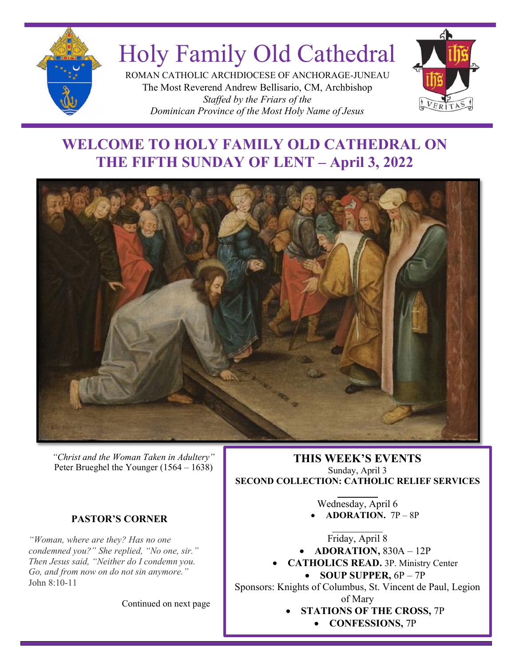

# Holy Family Old Cathedral

ROMAN CATHOLIC ARCHDIOCESE OF ANCHORAGE-JUNEAU The Most Reverend Andrew Bellisario, CM, Archbishop *Staffed by the Friars of the Dominican Province of the Most Holy Name of Jesus*



# **WELCOME TO HOLY FAMILY OLD CATHEDRAL ON THE FIFTH SUNDAY OF LENT – April 3, 2022**



*"Christ and the Woman Taken in Adultery"* Peter Brueghel the Younger (1564 – 1638)

#### **PASTOR'S CORNER**

*"Woman, where are they? Has no one condemned you?" She replied, "No one, sir." Then Jesus said, "Neither do I condemn you. Go, and from now on do not sin anymore."* John 8:10-11

Continued on next page

*October 24, 2021* **THIS WEEK'S EVENTS** Sunday, April 3 **SECOND COLLECTION: CATHOLIC RELIEF SERVICES**  $\overline{\phantom{a}}$ 

Wednesday, April 6 • **ADORATION.** 7P – 8P

Friday, April 8

• **ADORATION,** 830A – 12P

• **CATHOLICS READ.** 3P. Ministry Center

• **SOUP SUPPER,** 6P – 7P Sponsors: Knights of Columbus, St. Vincent de Paul, Legion of Mary

- **STATIONS OF THE CROSS,** 7P
	- **CONFESSIONS,** 7P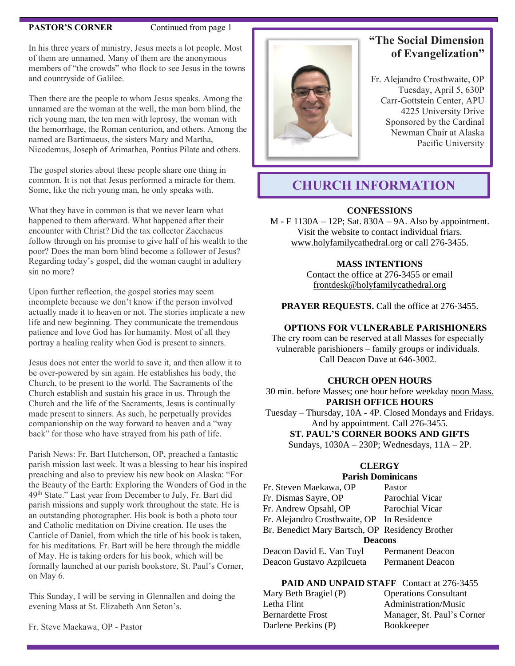#### **PASTOR'S CORNER** Continued from page 1

In his three years of ministry, Jesus meets a lot people. Most of them are unnamed. Many of them are the anonymous members of "the crowds" who flock to see Jesus in the towns and countryside of Galilee.

Then there are the people to whom Jesus speaks. Among the unnamed are the woman at the well, the man born blind, the rich young man, the ten men with leprosy, the woman with the hemorrhage, the Roman centurion, and others. Among the named are Bartimaeus, the sisters Mary and Martha, Nicodemus, Joseph of Arimathea, Pontius Pilate and others.

The gospel stories about these people share one thing in common. It is not that Jesus performed a miracle for them. Some, like the rich young man, he only speaks with.

What they have in common is that we never learn what happened to them afterward. What happened after their encounter with Christ? Did the tax collector Zacchaeus follow through on his promise to give half of his wealth to the poor? Does the man born blind become a follower of Jesus? Regarding today's gospel, did the woman caught in adultery sin no more?

Upon further reflection, the gospel stories may seem incomplete because we don't know if the person involved actually made it to heaven or not. The stories implicate a new life and new beginning. They communicate the tremendous patience and love God has for humanity. Most of all they portray a healing reality when God is present to sinners.

Jesus does not enter the world to save it, and then allow it to be over-powered by sin again. He establishes his body, the Church, to be present to the world. The Sacraments of the Church establish and sustain his grace in us. Through the Church and the life of the Sacraments, Jesus is continually made present to sinners. As such, he perpetually provides companionship on the way forward to heaven and a "way back" for those who have strayed from his path of life.

Parish News: Fr. Bart Hutcherson, OP, preached a fantastic parish mission last week. It was a blessing to hear his inspired preaching and also to preview his new book on Alaska: "For the Beauty of the Earth: Exploring the Wonders of God in the 49th State." Last year from December to July, Fr. Bart did parish missions and supply work throughout the state. He is an outstanding photographer. His book is both a photo tour and Catholic meditation on Divine creation. He uses the Canticle of Daniel, from which the title of his book is taken, for his meditations. Fr. Bart will be here through the middle of May. He is taking orders for his book, which will be formally launched at our parish bookstore, St. Paul's Corner, on May 6.

This Sunday, I will be serving in Glennallen and doing the evening Mass at St. Elizabeth Ann Seton's.

Fr. Steve Maekawa, OP - Pastor



# **"The Social Dimension of Evangelization"**

Fr. Alejandro Crosthwaite, OP Tuesday, April 5, 630P Carr-Gottstein Center, APU 4225 University Drive Sponsored by the Cardinal Newman Chair at Alaska Pacific University

# **CHURCH INFORMATION**

#### **CONFESSIONS**

M - F 1130A – 12P; Sat. 830A – 9A. Also by appointment. Visit the website to contact individual friars. [www.holyfamilycathedral.org](http://www.holyfamilycathedral.org/) or call 276-3455.

#### **MASS INTENTIONS**

Contact the office at 276-3455 or email [frontdesk@holyfamilycathedral.org](mailto:frontdesk@holyfamilycathedral.org)

**PRAYER REQUESTS.** Call the office at 276-3455.

#### **OPTIONS FOR VULNERABLE PARISHIONERS**

The cry room can be reserved at all Masses for especially vulnerable parishioners – family groups or individuals. Call Deacon Dave at 646-3002.

#### **CHURCH OPEN HOURS**

30 min. before Masses; one hour before weekday noon Mass. **PARISH OFFICE HOURS**

Tuesday – Thursday, 10A - 4P. Closed Mondays and Fridays. And by appointment. Call 276-3455.

**ST. PAUL'S CORNER BOOKS AND GIFTS**

# Sundays, 1030A – 230P; Wednesdays, 11A – 2P.

#### **CLERGY**

#### **Parish Dominicans**

| Fr. Steven Maekawa, OP                          | Pastor                  |
|-------------------------------------------------|-------------------------|
| Fr. Dismas Sayre, OP                            | Parochial Vicar         |
| Fr. Andrew Opsahl, OP                           | Parochial Vicar         |
| Fr. Alejandro Crosthwaite, OP In Residence      |                         |
| Br. Benedict Mary Bartsch, OP Residency Brother |                         |
| <b>Deacons</b>                                  |                         |
| Deacon David E. Van Tuyl                        | <b>Permanent Deacon</b> |
|                                                 |                         |

Deacon Gustavo Azpilcueta Permanent Deacon

# **PAID AND UNPAID STAFF** Contact at 276-3455

| Mary Beth Bragiel (P) | <b>Operations Consultant</b> |
|-----------------------|------------------------------|
| Letha Flint           | Administration/Music         |
| Bernardette Frost     | Manager, St. Paul's Corner   |
| Darlene Perkins (P)   | <b>Bookkeeper</b>            |
|                       |                              |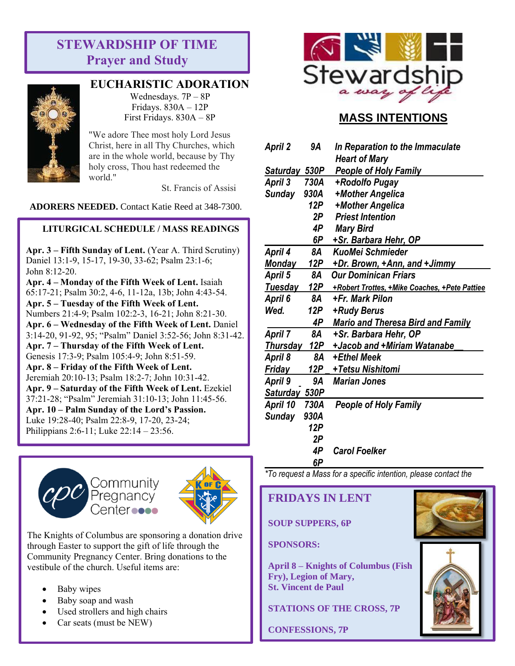# **STEWARDSHIP OF TIME Prayer and Study**



# **EUCHARISTIC ADORATION**

Wednesdays. 7P – 8P Fridays. 830A – 12P First Fridays. 830A – 8P

"We adore Thee most holy Lord Jesus Christ, here in all Thy Churches, which are in the whole world, because by Thy holy cross, Thou hast redeemed the world."

St. Francis of Assisi

**ADORERS NEEDED.** Contact Katie Reed at 348-7300.

#### **LITURGICAL SCHEDULE / MASS READINGS**

**Apr. 3 – Fifth Sunday of Lent.** (Year A. Third Scrutiny) Daniel 13:1-9, 15-17, 19-30, 33-62; Psalm 23:1-6; John 8:12-20.

**Apr. 4 – Monday of the Fifth Week of Lent.** Isaiah 65:17-21; Psalm 30:2, 4-6, 11-12a, 13b; John 4:43-54. **Apr. 5 – Tuesday of the Fifth Week of Lent.**  Numbers 21:4-9; Psalm 102:2-3, 16-21; John 8:21-30. **Apr. 6 – Wednesday of the Fifth Week of Lent.** Daniel 3:14-20, 91-92, 95; "Psalm" Daniel 3:52-56; John 8:31-42. **Apr. 7 – Thursday of the Fifth Week of Lent.** Genesis 17:3-9; Psalm 105:4-9; John 8:51-59. **Apr. 8 – Friday of the Fifth Week of Lent.** Jeremiah 20:10-13; Psalm 18:2-7; John 10:31-42. **Apr. 9 – Saturday of the Fifth Week of Lent.** Ezekiel 37:21-28; "Psalm" Jeremiah 31:10-13; John 11:45-56. **Apr. 10 – Palm Sunday of the Lord's Passion.** Luke 19:28-40; Psalm 22:8-9, 17-20, 23-24; Philippians 2:6-11; Luke 22:14 – 23:56.





The Knights of Columbus are sponsoring a donation drive through Easter to support the gift of life through the Community Pregnancy Center. Bring donations to the vestibule of the church. Useful items are:

- Baby wipes
- Baby soap and wash
- Used strollers and high chairs
- Car seats (must be NEW)



# **MASS INTENTIONS**

| <b>April 2</b> | 9Α      | In Reparation to the Immaculate                              |
|----------------|---------|--------------------------------------------------------------|
|                |         | <b>Heart of Mary</b>                                         |
| Saturday 530P  |         | <b>People of Holy Family</b>                                 |
| April 3        | 730A    | +Rodolfo Pugay                                               |
| <b>Sunday</b>  | 930A    | +Mother Angelica                                             |
|                | 12P     | +Mother Angelica                                             |
|                | 2Р      | <b>Priest Intention</b>                                      |
|                | 4P      | <b>Mary Bird</b>                                             |
|                | 6P      | <b>+Sr. Barbara Hehr, OP</b>                                 |
| <b>April 4</b> | 8A      | KuoMei Schmieder                                             |
| <b>Monday</b>  | 12P     | +Dr. Brown, +Ann, and +Jimmy                                 |
| <b>April 5</b> | 8A      | <b>Our Dominican Friars</b>                                  |
|                |         | Tuesday 12P + Robert Trottes, + Mike Coaches, + Pete Pattiee |
| April 6        | 8A      | +Fr. Mark Pilon                                              |
| Wed.           | 12P     | +Rudy Berus                                                  |
|                | 4P      | <b>Mario and Theresa Bird and Family</b>                     |
| <b>April 7</b> | 8A      | +Sr. Barbara Hehr, OP                                        |
| Thursday       | 12P     | +Jacob and +Miriam Watanabe                                  |
| April 8        | 8A      | +Ethel Meek                                                  |
| <b>Friday</b>  | 12P $-$ | +Tetsu Nishitomi                                             |
| April 9        | 9A      | <b>Marian Jones</b>                                          |
| Saturday 530P  |         |                                                              |
| April 10       | 730A    | <b>People of Holy Family</b>                                 |
| <b>Sunday</b>  | 930A    |                                                              |
|                | 12P     |                                                              |
|                | 2Р      |                                                              |
|                | 4P      | <b>Carol Foelker</b>                                         |
|                | 6P      |                                                              |

*\*To request a Mass for a specific intention, please contact the* 

# **FRIDAYS IN LENT**

*office, 276-3455*

#### **SOUP SUPPERS, 6P**

#### **SPONSORS:**

**April 8 – Knights of Columbus (Fish Fry), Legion of Mary, St. Vincent de Paul**

**STATIONS OF THE CROSS, 7P**

**CONFESSIONS, 7P**